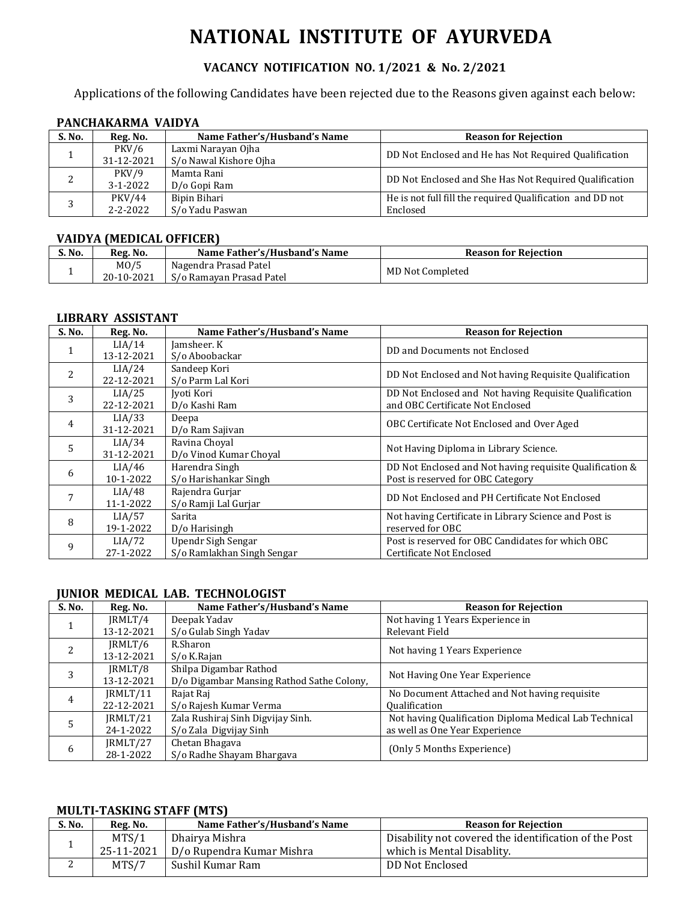# **NATIONAL INSTITUTE OF AYURVEDA**

## **VACANCY NOTIFICATION NO. 1/2021 & No. 2/2021**

Applications of the following Candidates have been rejected due to the Reasons given against each below:

## **PANCHAKARMA VAIDYA**

| S. No. | Reg. No.       | Name Father's/Husband's Name | <b>Reason for Rejection</b>                               |
|--------|----------------|------------------------------|-----------------------------------------------------------|
|        | <b>PKV/6</b>   | Laxmi Narayan Ojha           |                                                           |
|        | 31-12-2021     | S/o Nawal Kishore Ojha       | DD Not Enclosed and He has Not Required Qualification     |
|        | PKV/9          | Mamta Rani                   |                                                           |
|        | $3 - 1 - 2022$ | D/o Gopi Ram                 | DD Not Enclosed and She Has Not Required Qualification    |
|        | <b>PKV/44</b>  | Bipin Bihari                 | He is not full fill the required Qualification and DD not |
|        | $2 - 2 - 2022$ | S/o Yadu Paswan              | Enclosed                                                  |

#### **VAIDYA (MEDICAL OFFICER)**

| S. No. | Reg. No.          | Name Father's/Husband's Name | <b>Reason for Rejection</b> |
|--------|-------------------|------------------------------|-----------------------------|
|        | M <sub>0</sub> /5 | Nagendra Prasad Patel        | MD Not Completed            |
|        | 20-10-2021        | S/o Ramavan Prasad Patel     |                             |

#### **LIBRARY ASSISTANT**

| S. No. | Reg. No.             | Name Father's/Husband's Name                     | <b>Reason for Rejection</b>                                                                   |
|--------|----------------------|--------------------------------------------------|-----------------------------------------------------------------------------------------------|
|        | LIA/14<br>13-12-2021 | Jamsheer. K<br>S/o Aboobackar                    | DD and Documents not Enclosed                                                                 |
| 2      | LIA/24<br>22-12-2021 | Sandeep Kori<br>S/o Parm Lal Kori                | DD Not Enclosed and Not having Requisite Qualification                                        |
| 3      | LIA/25<br>22-12-2021 | Jyoti Kori<br>D/o Kashi Ram                      | DD Not Enclosed and Not having Requisite Qualification<br>and OBC Certificate Not Enclosed    |
| 4      | LIA/33<br>31-12-2021 | Deepa<br>D/o Ram Sajivan                         | OBC Certificate Not Enclosed and Over Aged                                                    |
| 5      | LIA/34<br>31-12-2021 | Ravina Choyal<br>D/o Vinod Kumar Choyal          | Not Having Diploma in Library Science.                                                        |
| 6      | LIA/46<br>10-1-2022  | Harendra Singh<br>S/o Harishankar Singh          | DD Not Enclosed and Not having requisite Qualification &<br>Post is reserved for OBC Category |
|        | LIA/48<br>11-1-2022  | Rajendra Gurjar<br>S/o Ramji Lal Gurjar          | DD Not Enclosed and PH Certificate Not Enclosed                                               |
| 8      | LIA/57<br>19-1-2022  | Sarita<br>D/o Harisingh                          | Not having Certificate in Library Science and Post is<br>reserved for OBC                     |
| 9      | LIA/72<br>27-1-2022  | Upendr Sigh Sengar<br>S/o Ramlakhan Singh Sengar | Post is reserved for OBC Candidates for which OBC<br>Certificate Not Enclosed                 |

#### **JUNIOR MEDICAL LAB. TECHNOLOGIST**

| S. No. | Reg. No.   | Name Father's/Husband's Name              | <b>Reason for Rejection</b>                            |  |
|--------|------------|-------------------------------------------|--------------------------------------------------------|--|
|        | JRMLT/4    | Deepak Yadav                              | Not having 1 Years Experience in                       |  |
|        | 13-12-2021 | S/o Gulab Singh Yadav                     | Relevant Field                                         |  |
| 2      | IRMLT/6    | R.Sharon                                  | Not having 1 Years Experience                          |  |
|        | 13-12-2021 | S/o K.Rajan                               |                                                        |  |
| 3      | IRMLT/8    | Shilpa Digambar Rathod                    | Not Having One Year Experience                         |  |
|        | 13-12-2021 | D/o Digambar Mansing Rathod Sathe Colony, |                                                        |  |
| 4      | IRMLT/11   | Rajat Raj                                 | No Document Attached and Not having requisite          |  |
|        | 22-12-2021 | S/o Rajesh Kumar Verma                    | <b>Qualification</b>                                   |  |
| 5      | IRMLT/21   | Zala Rushiraj Sinh Digvijay Sinh.         | Not having Qualification Diploma Medical Lab Technical |  |
|        | 24-1-2022  | S/o Zala Digvijay Sinh                    | as well as One Year Experience                         |  |
|        | JRMLT/27   | Chetan Bhagava                            | (Only 5 Months Experience)                             |  |
| 6      | 28-1-2022  | S/o Radhe Shayam Bhargaya                 |                                                        |  |

## **MULTI-TASKING STAFF (MTS)**

| S. No. | Reg. No.   | Name Father's/Husband's Name | <b>Reason for Rejection</b>                                        |
|--------|------------|------------------------------|--------------------------------------------------------------------|
|        | MTS/1      | Dhairya Mishra               | <sup>'</sup> Disability not covered the identification of the Post |
|        | 25-11-2021 | D/o Rupendra Kumar Mishra    | which is Mental Disablity.                                         |
| ∼      | MTS/7      | Sushil Kumar Ram             | DD Not Enclosed                                                    |
|        |            |                              |                                                                    |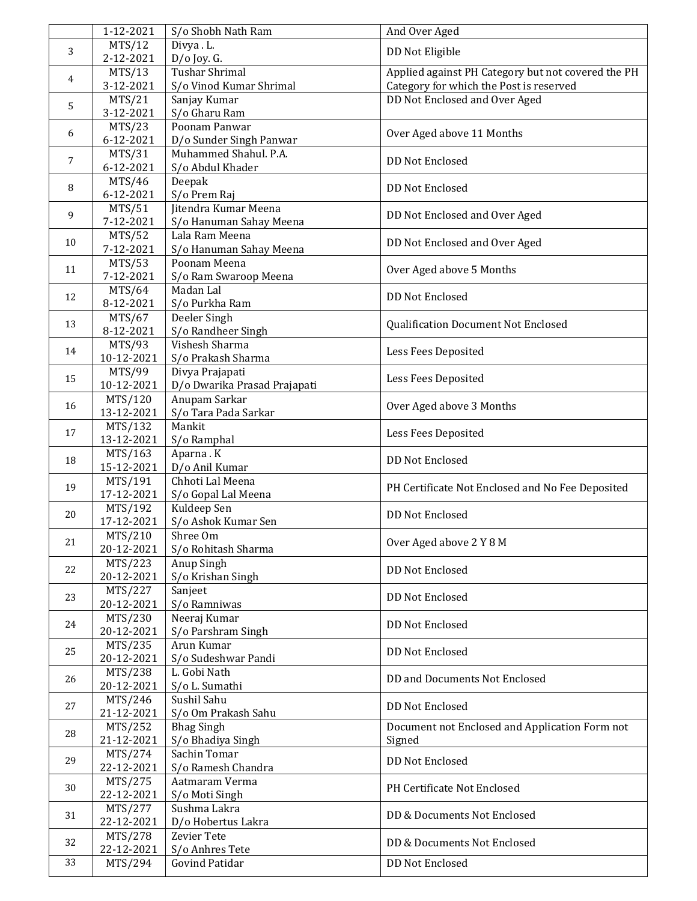|    | 1-12-2021             | S/o Shobh Nath Ram                     | And Over Aged                                      |
|----|-----------------------|----------------------------------------|----------------------------------------------------|
| 3  | MTS/12<br>2-12-2021   | Divya . L.                             | DD Not Eligible                                    |
|    | MTS/13                | $D/O$ Joy. G.<br><b>Tushar Shrimal</b> | Applied against PH Category but not covered the PH |
| 4  | 3-12-2021             | S/o Vinod Kumar Shrimal                | Category for which the Post is reserved            |
|    | MTS/21                | Sanjay Kumar                           | DD Not Enclosed and Over Aged                      |
| 5  | 3-12-2021             | S/o Gharu Ram                          |                                                    |
|    | MTS/23                | Poonam Panwar                          |                                                    |
| 6  | 6-12-2021             | D/o Sunder Singh Panwar                | Over Aged above 11 Months                          |
|    | MTS/31                | Muhammed Shahul. P.A.                  |                                                    |
| 7  | 6-12-2021             | S/o Abdul Khader                       | <b>DD Not Enclosed</b>                             |
|    | MTS/46                | Deepak                                 | <b>DD Not Enclosed</b>                             |
| 8  | 6-12-2021             | S/o Prem Raj                           |                                                    |
| 9  | MTS/51                | Jitendra Kumar Meena                   | DD Not Enclosed and Over Aged                      |
|    | 7-12-2021             | S/o Hanuman Sahay Meena                |                                                    |
| 10 | MTS/52                | Lala Ram Meena                         | DD Not Enclosed and Over Aged                      |
|    | 7-12-2021             | S/o Hanuman Sahay Meena                |                                                    |
| 11 | MTS/53                | Poonam Meena                           | Over Aged above 5 Months                           |
|    | 7-12-2021             | S/o Ram Swaroop Meena                  |                                                    |
| 12 | MTS/64                | Madan Lal                              | <b>DD Not Enclosed</b>                             |
|    | 8-12-2021             | S/o Purkha Ram                         |                                                    |
| 13 | MTS/67                | Deeler Singh                           | Qualification Document Not Enclosed                |
|    | 8-12-2021             | S/o Randheer Singh<br>Vishesh Sharma   |                                                    |
| 14 | MTS/93<br>10-12-2021  | S/o Prakash Sharma                     | Less Fees Deposited                                |
|    | MTS/99                | Divya Prajapati                        |                                                    |
| 15 | 10-12-2021            | D/o Dwarika Prasad Prajapati           | Less Fees Deposited                                |
|    | MTS/120               | Anupam Sarkar                          |                                                    |
| 16 | 13-12-2021            | S/o Tara Pada Sarkar                   | Over Aged above 3 Months                           |
|    | MTS/132               | Mankit                                 |                                                    |
| 17 | 13-12-2021            | S/o Ramphal                            | Less Fees Deposited                                |
|    | MTS/163               | Aparna . K                             |                                                    |
| 18 | 15-12-2021            | D/o Anil Kumar                         | <b>DD Not Enclosed</b>                             |
|    | MTS/191               | Chhoti Lal Meena                       |                                                    |
| 19 | 17-12-2021            | S/o Gopal Lal Meena                    | PH Certificate Not Enclosed and No Fee Deposited   |
| 20 | MTS/192               | Kuldeep Sen                            | <b>DD Not Enclosed</b>                             |
|    | 17-12-2021            | S/o Ashok Kumar Sen                    |                                                    |
| 21 | MTS/210               | Shree Om                               | Over Aged above 2 Y 8 M                            |
|    | 20-12-2021            | S/o Rohitash Sharma                    |                                                    |
| 22 | MTS/223               | Anup Singh                             | <b>DD Not Enclosed</b>                             |
|    | 20-12-2021            | S/o Krishan Singh                      |                                                    |
| 23 | MTS/227               | Sanjeet                                | DD Not Enclosed                                    |
|    | 20-12-2021            | S/o Ramniwas                           |                                                    |
| 24 | MTS/230               | Neeraj Kumar                           | DD Not Enclosed                                    |
|    | 20-12-2021            | S/o Parshram Singh                     |                                                    |
| 25 | MTS/235               | Arun Kumar                             | DD Not Enclosed                                    |
|    | 20-12-2021            | S/o Sudeshwar Pandi                    |                                                    |
| 26 | MTS/238<br>20-12-2021 | L. Gobi Nath<br>S/o L. Sumathi         | DD and Documents Not Enclosed                      |
|    | MTS/246               | Sushil Sahu                            |                                                    |
| 27 | 21-12-2021            | S/o Om Prakash Sahu                    | DD Not Enclosed                                    |
|    | MTS/252               | <b>Bhag Singh</b>                      | Document not Enclosed and Application Form not     |
| 28 | 21-12-2021            | S/o Bhadiya Singh                      | Signed                                             |
|    | MTS/274               | Sachin Tomar                           |                                                    |
| 29 | 22-12-2021            | S/o Ramesh Chandra                     | DD Not Enclosed                                    |
|    | MTS/275               | Aatmaram Verma                         |                                                    |
| 30 | 22-12-2021            | S/o Moti Singh                         | PH Certificate Not Enclosed                        |
|    | MTS/277               | Sushma Lakra                           |                                                    |
| 31 | 22-12-2021            | D/o Hobertus Lakra                     | DD & Documents Not Enclosed                        |
|    | MTS/278               | <b>Zevier Tete</b>                     |                                                    |
| 32 | 22-12-2021            | S/o Anhres Tete                        | DD & Documents Not Enclosed                        |
| 33 | MTS/294               | Govind Patidar                         | DD Not Enclosed                                    |
|    |                       |                                        |                                                    |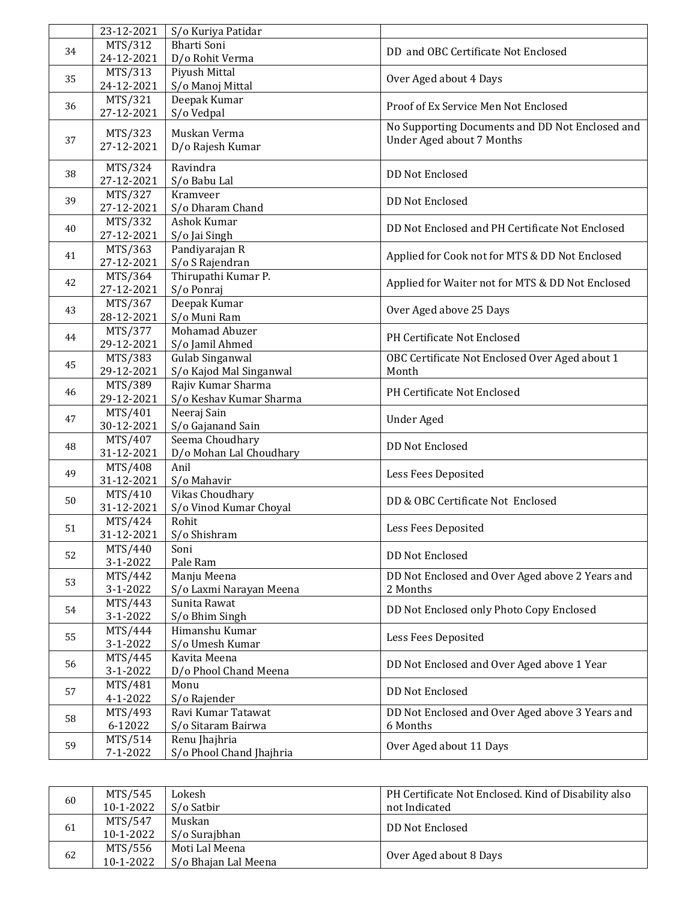|    | 23-12-2021 | S/o Kuriya Patidar       |                                                  |
|----|------------|--------------------------|--------------------------------------------------|
| 34 | MTS/312    | <b>Bharti Soni</b>       | DD and OBC Certificate Not Enclosed              |
|    | 24-12-2021 | D/o Rohit Verma          |                                                  |
| 35 | MTS/313    | Piyush Mittal            |                                                  |
|    | 24-12-2021 | S/o Manoj Mittal         | Over Aged about 4 Days                           |
|    | MTS/321    | Deepak Kumar             |                                                  |
| 36 | 27-12-2021 | S/o Vedpal               | Proof of Ex Service Men Not Enclosed             |
|    |            |                          | No Supporting Documents and DD Not Enclosed and  |
| 37 | MTS/323    | Muskan Verma             | <b>Under Aged about 7 Months</b>                 |
|    | 27-12-2021 | D/o Rajesh Kumar         |                                                  |
|    | MTS/324    | Ravindra                 |                                                  |
| 38 | 27-12-2021 | S/o Babu Lal             | <b>DD Not Enclosed</b>                           |
|    | MTS/327    | Kramveer                 |                                                  |
| 39 | 27-12-2021 | S/o Dharam Chand         | <b>DD Not Enclosed</b>                           |
|    |            | Ashok Kumar              |                                                  |
| 40 | MTS/332    |                          | DD Not Enclosed and PH Certificate Not Enclosed  |
|    | 27-12-2021 | S/o Jai Singh            |                                                  |
| 41 | MTS/363    | Pandiyarajan R           | Applied for Cook not for MTS & DD Not Enclosed   |
|    | 27-12-2021 | S/o S Rajendran          |                                                  |
| 42 | MTS/364    | Thirupathi Kumar P.      | Applied for Waiter not for MTS & DD Not Enclosed |
|    | 27-12-2021 | S/o Ponraj               |                                                  |
| 43 | MTS/367    | Deepak Kumar             | Over Aged above 25 Days                          |
|    | 28-12-2021 | S/o Muni Ram             |                                                  |
|    | MTS/377    | Mohamad Abuzer           |                                                  |
| 44 | 29-12-2021 | S/o Jamil Ahmed          | PH Certificate Not Enclosed                      |
|    | MTS/383    | <b>Gulab Singanwal</b>   | OBC Certificate Not Enclosed Over Aged about 1   |
| 45 | 29-12-2021 | S/o Kajod Mal Singanwal  | Month                                            |
|    | MTS/389    | Rajiv Kumar Sharma       |                                                  |
| 46 | 29-12-2021 | S/o Keshav Kumar Sharma  | PH Certificate Not Enclosed                      |
|    | MTS/401    | Neeraj Sain              |                                                  |
| 47 | 30-12-2021 | S/o Gajanand Sain        | <b>Under Aged</b>                                |
|    |            | Seema Choudhary          |                                                  |
| 48 | MTS/407    |                          | <b>DD Not Enclosed</b>                           |
|    | 31-12-2021 | D/o Mohan Lal Choudhary  |                                                  |
| 49 | MTS/408    | Anil                     | Less Fees Deposited                              |
|    | 31-12-2021 | S/o Mahavir              |                                                  |
| 50 | MTS/410    | <b>Vikas Choudhary</b>   | DD & OBC Certificate Not Enclosed                |
|    | 31-12-2021 | S/o Vinod Kumar Choyal   |                                                  |
| 51 | MTS/424    | Rohit                    | Less Fees Deposited                              |
|    | 31-12-2021 | S/o Shishram             |                                                  |
|    | MTS/440    | Soni                     |                                                  |
| 52 | 3-1-2022   | Pale Ram                 | <b>DD Not Enclosed</b>                           |
|    | MTS/442    | Manju Meena              | DD Not Enclosed and Over Aged above 2 Years and  |
| 53 | 3-1-2022   | S/o Laxmi Narayan Meena  | 2 Months                                         |
|    | MTS/443    | Sunita Rawat             |                                                  |
| 54 | 3-1-2022   | S/o Bhim Singh           | DD Not Enclosed only Photo Copy Enclosed         |
|    | MTS/444    | Himanshu Kumar           |                                                  |
| 55 | 3-1-2022   | S/o Umesh Kumar          | Less Fees Deposited                              |
|    |            |                          |                                                  |
| 56 | MTS/445    | Kavita Meena             | DD Not Enclosed and Over Aged above 1 Year       |
|    | 3-1-2022   | D/o Phool Chand Meena    |                                                  |
| 57 | MTS/481    | Monu                     | <b>DD Not Enclosed</b>                           |
|    | 4-1-2022   | S/o Rajender             |                                                  |
| 58 | MTS/493    | Ravi Kumar Tatawat       | DD Not Enclosed and Over Aged above 3 Years and  |
|    | 6-12022    | S/o Sitaram Bairwa       | 6 Months                                         |
|    | MTS/514    | Renu Jhajhria            |                                                  |
| 59 | 7-1-2022   | S/o Phool Chand Jhajhria | Over Aged about 11 Days                          |
|    |            |                          |                                                  |

| 60 | MTS/545   | Lokesh               | PH Certificate Not Enclosed. Kind of Disability also |  |
|----|-----------|----------------------|------------------------------------------------------|--|
|    | 10-1-2022 | S/o Satbir           | not Indicated                                        |  |
| 61 | MTS/547   | Muskan               |                                                      |  |
|    | 10-1-2022 | S/o Suraibhan        | DD Not Enclosed                                      |  |
| 62 | MTS/556   | Moti Lal Meena       |                                                      |  |
|    | 10-1-2022 | S/o Bhajan Lal Meena | Over Aged about 8 Days                               |  |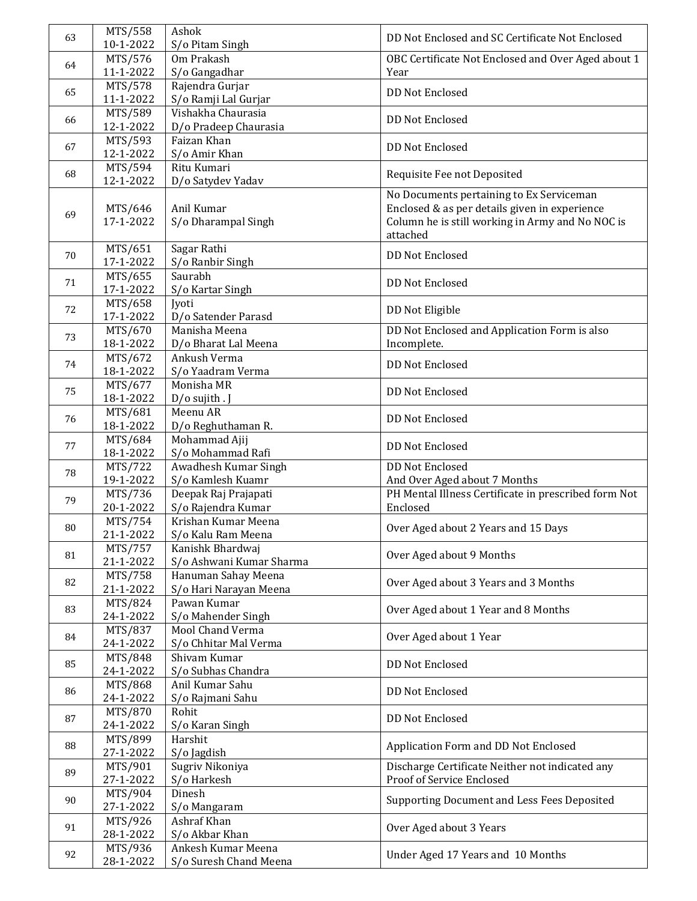| 63 | MTS/558<br>10-1-2022 | Ashok<br>S/o Pitam Singh          | DD Not Enclosed and SC Certificate Not Enclosed                                                                                                           |
|----|----------------------|-----------------------------------|-----------------------------------------------------------------------------------------------------------------------------------------------------------|
|    | MTS/576              | Om Prakash                        | OBC Certificate Not Enclosed and Over Aged about 1                                                                                                        |
| 64 | 11-1-2022            | S/o Gangadhar                     | Year                                                                                                                                                      |
|    | MTS/578              | Rajendra Gurjar                   |                                                                                                                                                           |
| 65 | 11-1-2022            | S/o Ramji Lal Gurjar              | <b>DD Not Enclosed</b>                                                                                                                                    |
|    | MTS/589              | Vishakha Chaurasia                |                                                                                                                                                           |
| 66 | 12-1-2022            | D/o Pradeep Chaurasia             | <b>DD Not Enclosed</b>                                                                                                                                    |
|    | MTS/593              | Faizan Khan                       |                                                                                                                                                           |
| 67 | 12-1-2022            | S/o Amir Khan                     | <b>DD Not Enclosed</b>                                                                                                                                    |
|    | MTS/594              | Ritu Kumari                       |                                                                                                                                                           |
| 68 | 12-1-2022            | D/o Satydev Yadav                 | Requisite Fee not Deposited                                                                                                                               |
| 69 | MTS/646<br>17-1-2022 | Anil Kumar<br>S/o Dharampal Singh | No Documents pertaining to Ex Serviceman<br>Enclosed & as per details given in experience<br>Column he is still working in Army and No NOC is<br>attached |
| 70 | MTS/651<br>17-1-2022 | Sagar Rathi<br>S/o Ranbir Singh   | DD Not Enclosed                                                                                                                                           |
|    | MTS/655              | Saurabh                           |                                                                                                                                                           |
| 71 | 17-1-2022            | S/o Kartar Singh                  | <b>DD Not Enclosed</b>                                                                                                                                    |
|    | MTS/658              | Jyoti                             |                                                                                                                                                           |
| 72 | 17-1-2022            | D/o Satender Parasd               | DD Not Eligible                                                                                                                                           |
|    | MTS/670              | Manisha Meena                     | DD Not Enclosed and Application Form is also                                                                                                              |
| 73 | 18-1-2022            | D/o Bharat Lal Meena              | Incomplete.                                                                                                                                               |
|    | MTS/672              | Ankush Verma                      |                                                                                                                                                           |
| 74 | 18-1-2022            | S/o Yaadram Verma                 | <b>DD Not Enclosed</b>                                                                                                                                    |
|    | MTS/677              | Monisha MR                        |                                                                                                                                                           |
| 75 | 18-1-2022            | D/o sujith . J                    | <b>DD Not Enclosed</b>                                                                                                                                    |
|    | MTS/681              | Meenu AR                          |                                                                                                                                                           |
| 76 | 18-1-2022            | D/o Reghuthaman R.                | <b>DD Not Enclosed</b>                                                                                                                                    |
|    | MTS/684              | Mohammad Ajij                     |                                                                                                                                                           |
| 77 | 18-1-2022            | S/o Mohammad Rafi                 | <b>DD Not Enclosed</b>                                                                                                                                    |
|    | MTS/722              | Awadhesh Kumar Singh              | <b>DD Not Enclosed</b>                                                                                                                                    |
| 78 | 19-1-2022            | S/o Kamlesh Kuamr                 | And Over Aged about 7 Months                                                                                                                              |
|    | MTS/736              | Deepak Raj Prajapati              | PH Mental Illness Certificate in prescribed form Not                                                                                                      |
| 79 | 20-1-2022            | S/o Rajendra Kumar                | Enclosed                                                                                                                                                  |
|    | MTS/754              | Krishan Kumar Meena               |                                                                                                                                                           |
| 80 |                      |                                   | Over Aged about 2 Years and 15 Days                                                                                                                       |
|    | 21-1-2022            | S/o Kalu Ram Meena                |                                                                                                                                                           |
| 81 | MTS/757              | Kanishk Bhardwaj                  | Over Aged about 9 Months                                                                                                                                  |
|    | 21-1-2022            | S/o Ashwani Kumar Sharma          |                                                                                                                                                           |
| 82 | MTS/758              | Hanuman Sahay Meena               | Over Aged about 3 Years and 3 Months                                                                                                                      |
|    | 21-1-2022            | S/o Hari Narayan Meena            |                                                                                                                                                           |
| 83 | MTS/824              | Pawan Kumar                       | Over Aged about 1 Year and 8 Months                                                                                                                       |
|    | 24-1-2022            | S/o Mahender Singh                |                                                                                                                                                           |
| 84 | MTS/837              | Mool Chand Verma                  | Over Aged about 1 Year                                                                                                                                    |
|    | 24-1-2022            | S/o Chhitar Mal Verma             |                                                                                                                                                           |
| 85 | MTS/848              | Shivam Kumar                      | <b>DD Not Enclosed</b>                                                                                                                                    |
|    | 24-1-2022            | S/o Subhas Chandra                |                                                                                                                                                           |
| 86 | MTS/868              | Anil Kumar Sahu                   | DD Not Enclosed                                                                                                                                           |
|    | 24-1-2022            | S/o Rajmani Sahu                  |                                                                                                                                                           |
| 87 | MTS/870              | Rohit                             | DD Not Enclosed                                                                                                                                           |
|    | 24-1-2022            | S/o Karan Singh                   |                                                                                                                                                           |
| 88 | MTS/899              | Harshit                           | Application Form and DD Not Enclosed                                                                                                                      |
|    | 27-1-2022            | S/o Jagdish                       |                                                                                                                                                           |
|    | MTS/901              | Sugriv Nikoniya                   | Discharge Certificate Neither not indicated any                                                                                                           |
| 89 | 27-1-2022            | S/o Harkesh                       | Proof of Service Enclosed                                                                                                                                 |
|    | MTS/904              | Dinesh                            |                                                                                                                                                           |
| 90 | 27-1-2022            | S/o Mangaram                      | Supporting Document and Less Fees Deposited                                                                                                               |
|    | MTS/926              | Ashraf Khan                       |                                                                                                                                                           |
| 91 | 28-1-2022            | S/o Akbar Khan                    | Over Aged about 3 Years                                                                                                                                   |
|    | MTS/936              | Ankesh Kumar Meena                |                                                                                                                                                           |
| 92 | 28-1-2022            | S/o Suresh Chand Meena            | Under Aged 17 Years and 10 Months                                                                                                                         |
|    |                      |                                   |                                                                                                                                                           |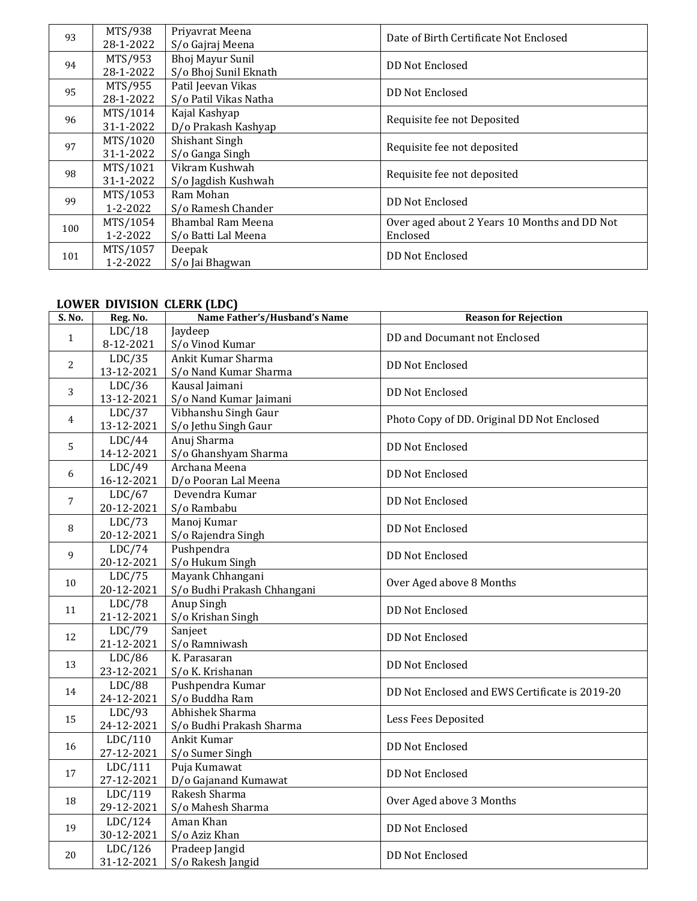| 93  | MTS/938<br>28-1-2022  | Priyavrat Meena<br>S/o Gajraj Meena             | Date of Birth Certificate Not Enclosed                   |
|-----|-----------------------|-------------------------------------------------|----------------------------------------------------------|
| 94  | MTS/953<br>28-1-2022  | Bhoj Mayur Sunil<br>S/o Bhoj Sunil Eknath       | <b>DD Not Enclosed</b>                                   |
| 95  | MTS/955<br>28-1-2022  | Patil Jeevan Vikas<br>S/o Patil Vikas Natha     | DD Not Enclosed                                          |
| 96  | MTS/1014<br>31-1-2022 | Kajal Kashyap<br>D/o Prakash Kashyap            | Requisite fee not Deposited                              |
| 97  | MTS/1020<br>31-1-2022 | Shishant Singh<br>S/o Ganga Singh               | Requisite fee not deposited                              |
| 98  | MTS/1021<br>31-1-2022 | Vikram Kushwah<br>S/o Jagdish Kushwah           | Requisite fee not deposited                              |
| 99  | MTS/1053<br>1-2-2022  | Ram Mohan<br>S/o Ramesh Chander                 | <b>DD Not Enclosed</b>                                   |
| 100 | MTS/1054<br>1-2-2022  | <b>Bhambal Ram Meena</b><br>S/o Batti Lal Meena | Over aged about 2 Years 10 Months and DD Not<br>Enclosed |
| 101 | MTS/1057<br>1-2-2022  | Deepak<br>S/o Jai Bhagwan                       | DD Not Enclosed                                          |

## **LOWER DIVISION CLERK (LDC)**

| S. No.         | Reg. No.   | Name Father's/Husband's Name | <b>Reason for Rejection</b>                    |
|----------------|------------|------------------------------|------------------------------------------------|
|                | LDC/18     | Jaydeep                      |                                                |
| $\mathbf{1}$   | 8-12-2021  | S/o Vinod Kumar              | DD and Documant not Enclosed                   |
|                | LDC/35     | Ankit Kumar Sharma           | <b>DD Not Enclosed</b>                         |
| 2              | 13-12-2021 | S/o Nand Kumar Sharma        |                                                |
| 3              | LDC/36     | Kausal Jaimani               | <b>DD Not Enclosed</b>                         |
|                | 13-12-2021 | S/o Nand Kumar Jaimani       |                                                |
| $\overline{4}$ | LDC/37     | Vibhanshu Singh Gaur         | Photo Copy of DD. Original DD Not Enclosed     |
|                | 13-12-2021 | S/o Jethu Singh Gaur         |                                                |
| 5              | LDC/44     | Anuj Sharma                  | <b>DD Not Enclosed</b>                         |
|                | 14-12-2021 | S/o Ghanshyam Sharma         |                                                |
| 6              | LDC/49     | Archana Meena                | <b>DD Not Enclosed</b>                         |
|                | 16-12-2021 | D/o Pooran Lal Meena         |                                                |
| 7              | LDC/67     | Devendra Kumar               | <b>DD Not Enclosed</b>                         |
|                | 20-12-2021 | S/o Rambabu                  |                                                |
| 8              | LDC/73     | Manoj Kumar                  | <b>DD Not Enclosed</b>                         |
|                | 20-12-2021 | S/o Rajendra Singh           |                                                |
| 9              | LDC/74     | Pushpendra                   | <b>DD Not Enclosed</b>                         |
|                | 20-12-2021 | S/o Hukum Singh              |                                                |
| 10             | LDC/75     | Mayank Chhangani             | Over Aged above 8 Months                       |
|                | 20-12-2021 | S/o Budhi Prakash Chhangani  |                                                |
| 11             | LDC/78     | Anup Singh                   | <b>DD Not Enclosed</b>                         |
|                | 21-12-2021 | S/o Krishan Singh            |                                                |
| 12             | LDC/79     | Sanjeet                      | <b>DD Not Enclosed</b>                         |
|                | 21-12-2021 | S/o Ramniwash                |                                                |
| 13             | LDC/86     | K. Parasaran                 | <b>DD Not Enclosed</b>                         |
|                | 23-12-2021 | S/o K. Krishanan             |                                                |
| 14             | LDC/88     | Pushpendra Kumar             | DD Not Enclosed and EWS Certificate is 2019-20 |
|                | 24-12-2021 | S/o Buddha Ram               |                                                |
| 15             | LDC/93     | Abhishek Sharma              | Less Fees Deposited                            |
|                | 24-12-2021 | S/o Budhi Prakash Sharma     |                                                |
| 16             | LDC/110    | Ankit Kumar                  | <b>DD Not Enclosed</b>                         |
|                | 27-12-2021 | S/o Sumer Singh              |                                                |
| 17             | LDC/111    | Puja Kumawat                 | <b>DD Not Enclosed</b>                         |
|                | 27-12-2021 | D/o Gajanand Kumawat         |                                                |
| 18             | LDC/119    | Rakesh Sharma                | Over Aged above 3 Months                       |
|                | 29-12-2021 | S/o Mahesh Sharma            |                                                |
| 19             | LDC/124    | Aman Khan                    | <b>DD Not Enclosed</b>                         |
|                | 30-12-2021 | S/o Aziz Khan                |                                                |
|                | LDC/126    | Pradeep Jangid               | DD Not Enclosed                                |
| 20             | 31-12-2021 | S/o Rakesh Jangid            |                                                |